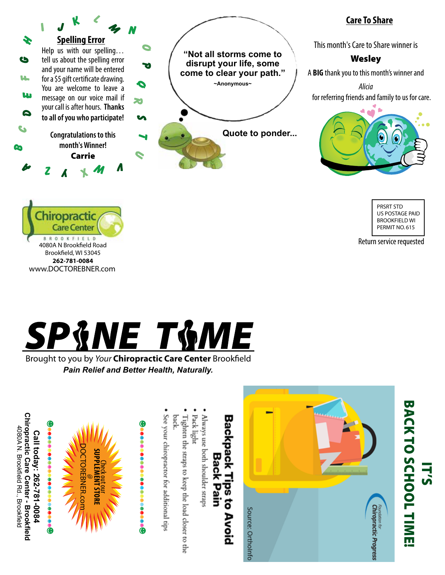

### Chiropractic **Care Center BROOKFIELD** 4080A N Brookfield Road Brookfield, WI 53045 **262-781-0084** www.DOCTOREBNER.com

## **Care To Share**

This month's Care to Share winner is

### **Wesley**

A **BIG** thank you to this month's winner and

*Alicia* for referring friends and family to us for care.



PRSRT STD US POSTAGE PAID BROOKFIELD WI PERMIT NO. 615

Return service requested

# SP&NE T&ME

Brought to you by *Your* Chiropractic Care Center Brookfield *Pain Relief and Better Health, Naturally.*